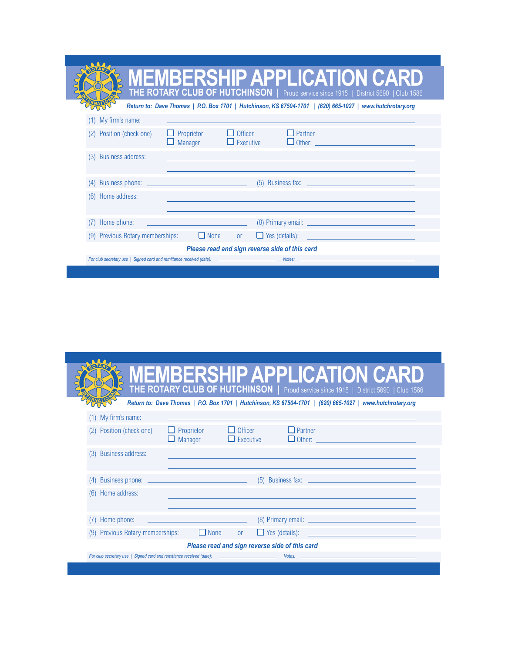| <b>MEMBERSHIP APPLICATION CARD</b><br>THE ROTARY CLUB OF HUTCHINSON   Proud service since 1915   District 5690   Club 1586<br>Return to: Dave Thomas   P.O. Box 1701   Hutchinson, KS 67504-1701   (620) 665-1027   www.hutchrotary.org<br>(1) My firm's name:<br>$\Box$ Partner<br>$\Box$ Officer<br>$\Box$ Proprietor<br>Position (check one)<br>$\Box$ Manager<br>$\Box$ Executive |
|---------------------------------------------------------------------------------------------------------------------------------------------------------------------------------------------------------------------------------------------------------------------------------------------------------------------------------------------------------------------------------------|
|                                                                                                                                                                                                                                                                                                                                                                                       |
|                                                                                                                                                                                                                                                                                                                                                                                       |
|                                                                                                                                                                                                                                                                                                                                                                                       |
| <b>Other:</b> <u>_____________________________</u>                                                                                                                                                                                                                                                                                                                                    |
| <b>Business address:</b><br>(3)                                                                                                                                                                                                                                                                                                                                                       |
| $(5)$ Business fax: $\qquad \qquad$                                                                                                                                                                                                                                                                                                                                                   |
| (6) Home address:                                                                                                                                                                                                                                                                                                                                                                     |
| Home phone:                                                                                                                                                                                                                                                                                                                                                                           |
| $\Box$ Yes (details):<br>(9) Previous Rotary memberships:<br>$\Box$ None<br>or                                                                                                                                                                                                                                                                                                        |
| Please read and sign reverse side of this card                                                                                                                                                                                                                                                                                                                                        |
| For club secretary use   Signed card and remittance received (date):<br>the control of the control of the control of<br>Notes:                                                                                                                                                                                                                                                        |